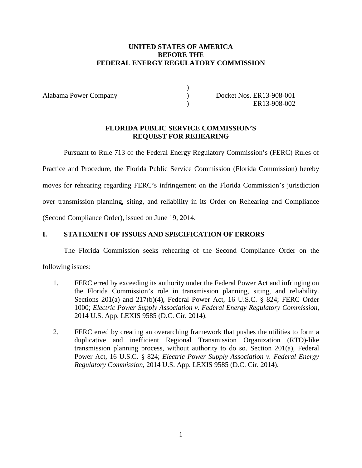# **UNITED STATES OF AMERICA BEFORE THE FEDERAL ENERGY REGULATORY COMMISSION**

) )  $\lambda$ 

Alabama Power Company

Docket Nos. ER13-908-001 ER13-908-002

## **FLORIDA PUBLIC SERVICE COMMISSION'S REQUEST FOR REHEARING**

Pursuant to Rule 713 of the Federal Energy Regulatory Commission's (FERC) Rules of Practice and Procedure, the Florida Public Service Commission (Florida Commission) hereby moves for rehearing regarding FERC's infringement on the Florida Commission's jurisdiction over transmission planning, siting, and reliability in its Order on Rehearing and Compliance (Second Compliance Order), issued on June 19, 2014.

# **I. STATEMENT OF ISSUES AND SPECIFICATION OF ERRORS**

The Florida Commission seeks rehearing of the Second Compliance Order on the

following issues:

- 1. FERC erred by exceeding its authority under the Federal Power Act and infringing on the Florida Commission's role in transmission planning, siting, and reliability. Sections 201(a) and 217(b)(4), Federal Power Act, 16 U.S.C. § 824; FERC Order 1000; *Electric Power Supply Association v. Federal Energy Regulatory Commission*, 2014 U.S. App. LEXIS 9585 (D.C. Cir. 2014).
- 2. FERC erred by creating an overarching framework that pushes the utilities to form a duplicative and inefficient Regional Transmission Organization (RTO)-like transmission planning process, without authority to do so. Section 201(a), Federal Power Act, 16 U.S.C. § 824; *Electric Power Supply Association v. Federal Energy Regulatory Commission*, 2014 U.S. App. LEXIS 9585 (D.C. Cir. 2014).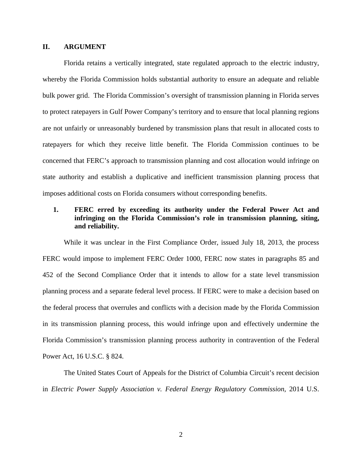#### **II. ARGUMENT**

Florida retains a vertically integrated, state regulated approach to the electric industry, whereby the Florida Commission holds substantial authority to ensure an adequate and reliable bulk power grid. The Florida Commission's oversight of transmission planning in Florida serves to protect ratepayers in Gulf Power Company's territory and to ensure that local planning regions are not unfairly or unreasonably burdened by transmission plans that result in allocated costs to ratepayers for which they receive little benefit. The Florida Commission continues to be concerned that FERC's approach to transmission planning and cost allocation would infringe on state authority and establish a duplicative and inefficient transmission planning process that imposes additional costs on Florida consumers without corresponding benefits.

## **1. FERC erred by exceeding its authority under the Federal Power Act and infringing on the Florida Commission's role in transmission planning, siting, and reliability.**

While it was unclear in the First Compliance Order, issued July 18, 2013, the process FERC would impose to implement FERC Order 1000, FERC now states in paragraphs 85 and 452 of the Second Compliance Order that it intends to allow for a state level transmission planning process and a separate federal level process. If FERC were to make a decision based on the federal process that overrules and conflicts with a decision made by the Florida Commission in its transmission planning process, this would infringe upon and effectively undermine the Florida Commission's transmission planning process authority in contravention of the Federal Power Act, 16 U.S.C. § 824.

The United States Court of Appeals for the District of Columbia Circuit's recent decision in *Electric Power Supply Association v. Federal Energy Regulatory Commission*, 2014 U.S.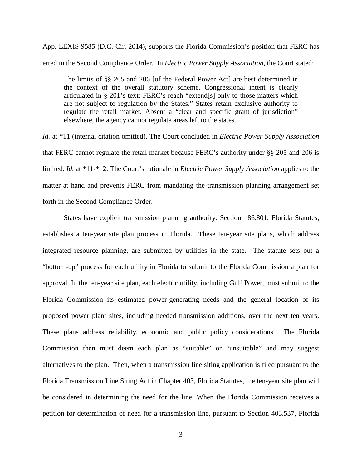App. LEXIS 9585 (D.C. Cir. 2014), supports the Florida Commission's position that FERC has erred in the Second Compliance Order. In *Electric Power Supply Association*, the Court stated:

The limits of §§ 205 and 206 [of the Federal Power Act] are best determined in the context of the overall statutory scheme. Congressional intent is clearly articulated in § 201's text: FERC's reach "extend[s] only to those matters which are not subject to regulation by the States." States retain exclusive authority to regulate the retail market. Absent a "clear and specific grant of jurisdiction" elsewhere, the agency cannot regulate areas left to the states.

*Id.* at \*11 (internal citation omitted). The Court concluded in *Electric Power Supply Association* that FERC cannot regulate the retail market because FERC's authority under §§ 205 and 206 is limited. *Id.* at \*11-\*12. The Court's rationale in *Electric Power Supply Association* applies to the matter at hand and prevents FERC from mandating the transmission planning arrangement set forth in the Second Compliance Order.

States have explicit transmission planning authority. Section 186.801, Florida Statutes, establishes a ten-year site plan process in Florida. These ten-year site plans, which address integrated resource planning, are submitted by utilities in the state. The statute sets out a "bottom-up" process for each utility in Florida to submit to the Florida Commission a plan for approval. In the ten-year site plan, each electric utility, including Gulf Power, must submit to the Florida Commission its estimated power-generating needs and the general location of its proposed power plant sites, including needed transmission additions, over the next ten years. These plans address reliability, economic and public policy considerations. The Florida Commission then must deem each plan as "suitable" or "unsuitable" and may suggest alternatives to the plan. Then, when a transmission line siting application is filed pursuant to the Florida Transmission Line Siting Act in Chapter 403, Florida Statutes, the ten-year site plan will be considered in determining the need for the line. When the Florida Commission receives a petition for determination of need for a transmission line, pursuant to Section 403.537, Florida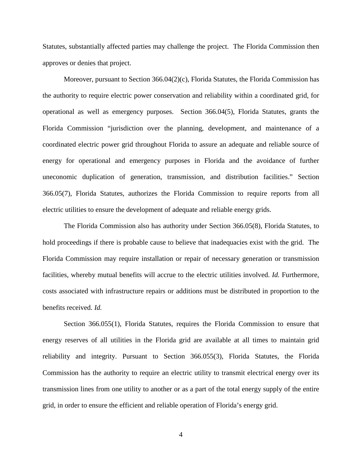Statutes, substantially affected parties may challenge the project. The Florida Commission then approves or denies that project.

Moreover, pursuant to Section  $366.04(2)(c)$ , Florida Statutes, the Florida Commission has the authority to require electric power conservation and reliability within a coordinated grid, for operational as well as emergency purposes. Section 366.04(5), Florida Statutes, grants the Florida Commission "jurisdiction over the planning, development, and maintenance of a coordinated electric power grid throughout Florida to assure an adequate and reliable source of energy for operational and emergency purposes in Florida and the avoidance of further uneconomic duplication of generation, transmission, and distribution facilities." Section 366.05(7), Florida Statutes, authorizes the Florida Commission to require reports from all electric utilities to ensure the development of adequate and reliable energy grids.

The Florida Commission also has authority under Section 366.05(8), Florida Statutes, to hold proceedings if there is probable cause to believe that inadequacies exist with the grid. The Florida Commission may require installation or repair of necessary generation or transmission facilities, whereby mutual benefits will accrue to the electric utilities involved. *Id.* Furthermore, costs associated with infrastructure repairs or additions must be distributed in proportion to the benefits received. *Id.*

Section 366.055(1), Florida Statutes, requires the Florida Commission to ensure that energy reserves of all utilities in the Florida grid are available at all times to maintain grid reliability and integrity. Pursuant to Section 366.055(3), Florida Statutes, the Florida Commission has the authority to require an electric utility to transmit electrical energy over its transmission lines from one utility to another or as a part of the total energy supply of the entire grid, in order to ensure the efficient and reliable operation of Florida's energy grid.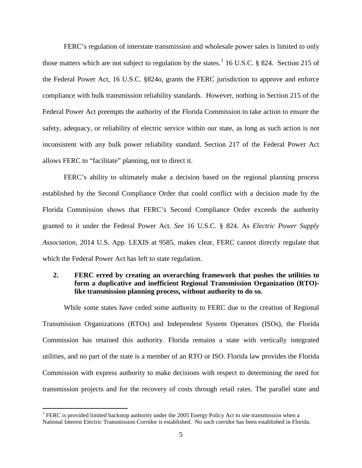FERC's regulation of interstate transmission and wholesale power sales is limited to only those matters which are not subject to regulation by the states.<sup>[1](#page-4-0)</sup> 16 U.S.C. § 824. Section 215 of the Federal Power Act, 16 U.S.C. §824o, grants the FERC jurisdiction to approve and enforce compliance with bulk transmission reliability standards. However, nothing in Section 215 of the Federal Power Act preempts the authority of the Florida Commission to take action to ensure the safety, adequacy, or reliability of electric service within our state, as long as such action is not inconsistent with any bulk power reliability standard. Section 217 of the Federal Power Act allows FERC to "facilitate" planning, not to direct it.

FERC's ability to ultimately make a decision based on the regional planning process established by the Second Compliance Order that could conflict with a decision made by the Florida Commission shows that FERC's Second Compliance Order exceeds the authority granted to it under the Federal Power Act. *See* 16 U.S.C. § 824. As *Electric Power Supply Association*, 2014 U.S. App. LEXIS at 9585, makes clear, FERC cannot directly regulate that which the Federal Power Act has left to state regulation.

# **2. FERC erred by creating an overarching framework that pushes the utilities to form a duplicative and inefficient Regional Transmission Organization (RTO) like transmission planning process, without authority to do so.**

While some states have ceded some authority to FERC due to the creation of Regional Transmission Organizations (RTOs) and Independent System Operators (ISOs), the Florida Commission has retained this authority. Florida remains a state with vertically integrated utilities, and no part of the state is a member of an RTO or ISO. Florida law provides the Florida Commission with express authority to make decisions with respect to determining the need for transmission projects and for the recovery of costs through retail rates. The parallel state and

<span id="page-4-0"></span><sup>&</sup>lt;sup>1</sup> FERC is provided limited backstop authority under the 2005 Energy Policy Act to site transmission when a National Interest Electric Transmission Corridor is established. No such corridor has been established in Florida.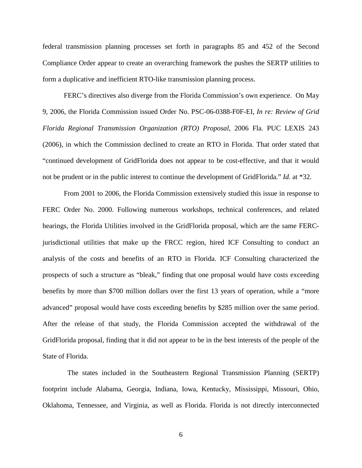federal transmission planning processes set forth in paragraphs 85 and 452 of the Second Compliance Order appear to create an overarching framework the pushes the SERTP utilities to form a duplicative and inefficient RTO-like transmission planning process.

FERC's directives also diverge from the Florida Commission's own experience. On May 9, 2006, the Florida Commission issued Order No. PSC-06-0388-F0F-EI, *In re: Review of Grid Florida Regional Transmission Organization (RTO) Proposal*, 2006 Fla. PUC LEXIS 243 (2006), in which the Commission declined to create an RTO in Florida. That order stated that "continued development of GridFlorida does not appear to be cost-effective, and that it would not be prudent or in the public interest to continue the development of GridFlorida." *Id.* at \*32.

From 2001 to 2006, the Florida Commission extensively studied this issue in response to FERC Order No. 2000. Following numerous workshops, technical conferences, and related hearings, the Florida Utilities involved in the GridFlorida proposal, which are the same FERCjurisdictional utilities that make up the FRCC region, hired ICF Consulting to conduct an analysis of the costs and benefits of an RTO in Florida. ICF Consulting characterized the prospects of such a structure as "bleak," finding that one proposal would have costs exceeding benefits by more than \$700 million dollars over the first 13 years of operation, while a "more advanced" proposal would have costs exceeding benefits by \$285 million over the same period. After the release of that study, the Florida Commission accepted the withdrawal of the GridFlorida proposal, finding that it did not appear to be in the best interests of the people of the State of Florida.

 The states included in the Southeastern Regional Transmission Planning (SERTP) footprint include Alabama, Georgia, Indiana, Iowa, Kentucky, Mississippi, Missouri, Ohio, Oklahoma, Tennessee, and Virginia, as well as Florida. Florida is not directly interconnected

6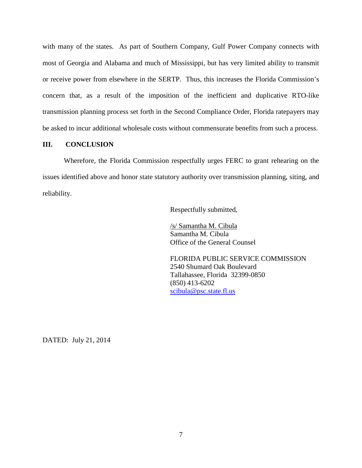with many of the states. As part of Southern Company, Gulf Power Company connects with most of Georgia and Alabama and much of Mississippi, but has very limited ability to transmit or receive power from elsewhere in the SERTP. Thus, this increases the Florida Commission's concern that, as a result of the imposition of the inefficient and duplicative RTO-like transmission planning process set forth in the Second Compliance Order, Florida ratepayers may be asked to incur additional wholesale costs without commensurate benefits from such a process.

## **III. CONCLUSION**

Wherefore, the Florida Commission respectfully urges FERC to grant rehearing on the issues identified above and honor state statutory authority over transmission planning, siting, and reliability.

Respectfully submitted,

/s/ Samantha M. Cibula Samantha M. Cibula Office of the General Counsel

FLORIDA PUBLIC SERVICE COMMISSION 2540 Shumard Oak Boulevard Tallahassee, Florida 32399-0850 (850) 413-6202 [scibula@psc.state.fl.us](mailto:scibula@psc.state.fl.us)

DATED: July 21, 2014